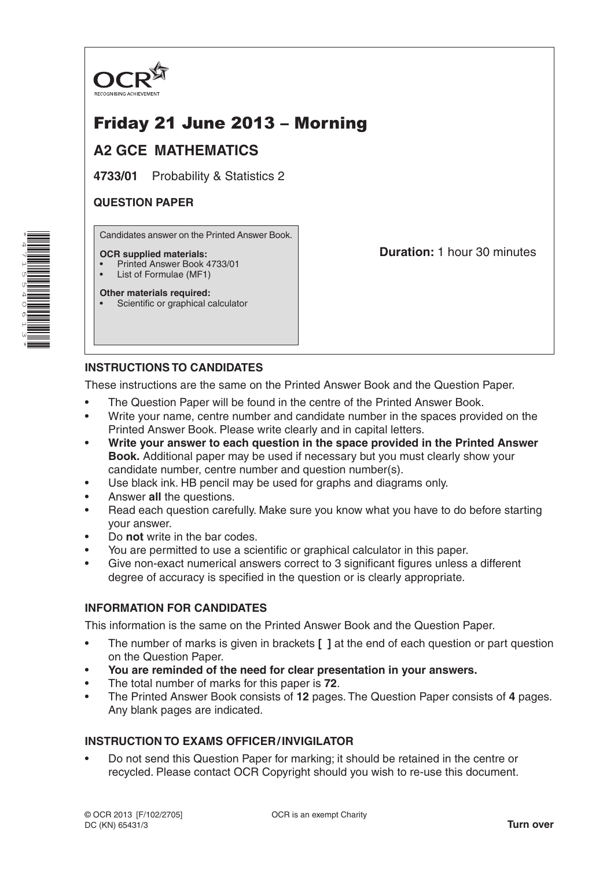

# Friday 21 June 2013 – Morning

# **A2 GCE MATHEMATICS**

**4733/01** Probability & Statistics 2

### **QUESTION PAPER**

Candidates answer on the Printed Answer Book.

#### **OCR supplied materials:**

- Printed Answer Book 4733/01
- List of Formulae (MF1)

**Other materials required:**

• Scientific or graphical calculator

**Duration:** 1 hour 30 minutes

# **INSTRUCTIONS TO CANDIDATES**

These instructions are the same on the Printed Answer Book and the Question Paper.

- The Question Paper will be found in the centre of the Printed Answer Book.
- Write your name, centre number and candidate number in the spaces provided on the Printed Answer Book. Please write clearly and in capital letters.
- **Write your answer to each question in the space provided in the Printed Answer Book.** Additional paper may be used if necessary but you must clearly show your candidate number, centre number and question number(s).
- Use black ink. HB pencil may be used for graphs and diagrams only.
- Answer **all** the questions.
- Read each question carefully. Make sure you know what you have to do before starting your answer.
- Do **not** write in the bar codes.
- You are permitted to use a scientific or graphical calculator in this paper.
- Give non-exact numerical answers correct to 3 significant figures unless a different degree of accuracy is specified in the question or is clearly appropriate.

### **INFORMATION FOR CANDIDATES**

This information is the same on the Printed Answer Book and the Question Paper.

- The number of marks is given in brackets **[ ]** at the end of each question or part question on the Question Paper.
- **You are reminded of the need for clear presentation in your answers.**
- The total number of marks for this paper is **72**.
- The Printed Answer Book consists of **12** pages. The Question Paper consists of **4** pages. Any blank pages are indicated.

## **INSTRUCTION TO EXAMS OFFICER/INVIGILATOR**

• Do not send this Question Paper for marking; it should be retained in the centre or recycled. Please contact OCR Copyright should you wish to re-use this document.

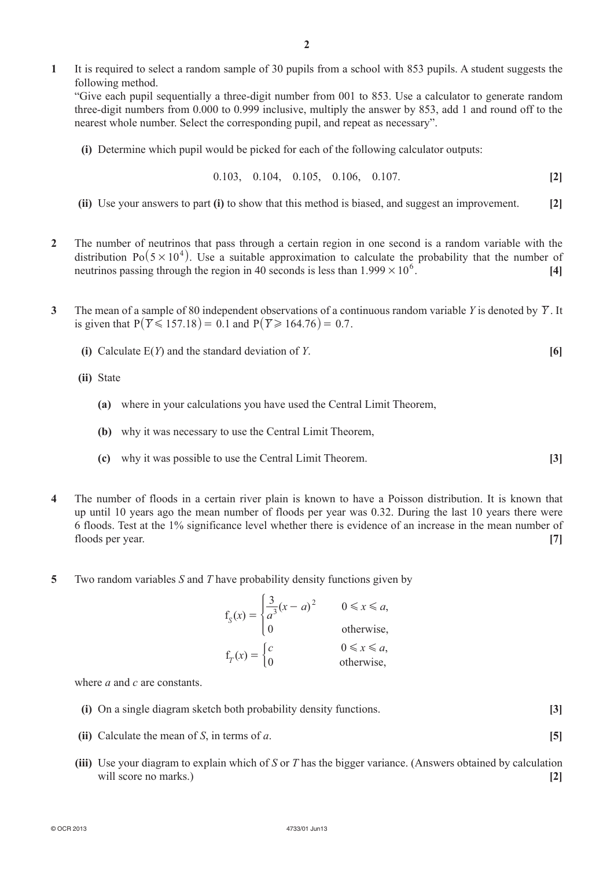**1**  It is required to select a random sample of 30 pupils from a school with 853 pupils. A student suggests the following method.

"Give each pupil sequentially a three-digit number from 001 to 853. Use a calculator to generate random three-digit numbers from 0.000 to 0.999 inclusive, multiply the answer by 853, add 1 and round off to the nearest whole number. Select the corresponding pupil, and repeat as necessary".

**(i)** Determine which pupil would be picked for each of the following calculator outputs:

$$
0.103, \quad 0.104, \quad 0.105, \quad 0.106, \quad 0.107. \tag{2}
$$

- **(ii)** Use your answers to part **(i)** to show that this method is biased, and suggest an improvement. **[2]**
- **2**  The number of neutrinos that pass through a certain region in one second is a random variable with the distribution Po $(5 \times 10^4)$ . Use a suitable approximation to calculate the probability that the number of neutrinos passing through the region in 40 seconds is less than  $1.999 \times 10^6$ . [4]
- **3** The mean of a sample of 80 independent observations of a continuous random variable *Y* is denoted by  $\overline{Y}$ . It is given that  $P(\overline{Y} \le 157.18) = 0.1$  and  $P(\overline{Y} \ge 164.76) = 0.7$ .
	- **(i)** Calculate  $E(Y)$  and the standard deviation of *Y*.  $[6]$

 **(ii)**  State

- **(a)** where in your calculations you have used the Central Limit Theorem,
- **(b)** why it was necessary to use the Central Limit Theorem,
- **(c)** why it was possible to use the Central Limit Theorem. **[3]**
- **4**  The number of floods in a certain river plain is known to have a Poisson distribution. It is known that up until 10 years ago the mean number of floods per year was 0.32. During the last 10 years there were 6 floods. Test at the 1% significance level whether there is evidence of an increase in the mean number of floods per year. **[7]**
- **5**  Two random variables *S* and *T* have probability density functions given by

| $f_S(x) = \begin{cases} \frac{3}{a^3}(x-a)^2 & 0 \le x \le u, \\ 0 & \end{cases}$ |                   |
|-----------------------------------------------------------------------------------|-------------------|
|                                                                                   |                   |
| $f_T(x) = \begin{cases} c \\ 0 \end{cases}$                                       | $0 \leq x \leq a$ |
|                                                                                   | otherwise,        |

where *a* and *c* are constants.

- **(i)** On a single diagram sketch both probability density functions. **[3]**
- **(ii)** Calculate the mean of *S*, in terms of *a*. **[5]**
- **(iii)** Use your diagram to explain which of *S* or *T* has the bigger variance. (Answers obtained by calculation will score no marks.) **[2] [2]**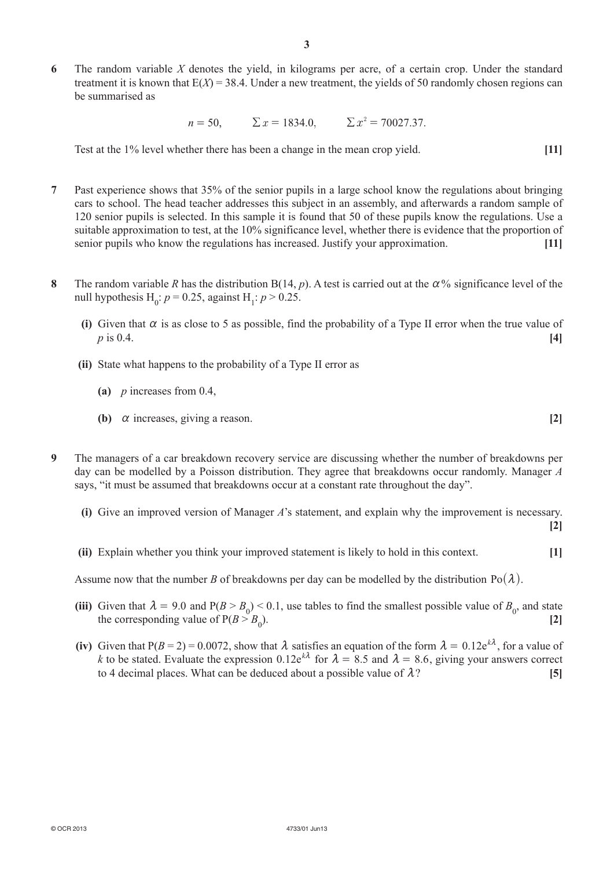**6**  The random variable *X* denotes the yield, in kilograms per acre, of a certain crop. Under the standard treatment it is known that  $E(X) = 38.4$ . Under a new treatment, the yields of 50 randomly chosen regions can be summarised as

 $n = 50$ ,  $\Sigma x = 1834.0$ ,  $\Sigma x^2 = 70027.37$ .

Test at the 1% level whether there has been a change in the mean crop yield. **[11]**

- **7**  Past experience shows that 35% of the senior pupils in a large school know the regulations about bringing cars to school. The head teacher addresses this subject in an assembly, and afterwards a random sample of 120 senior pupils is selected. In this sample it is found that 50 of these pupils know the regulations. Use a suitable approximation to test, at the 10% significance level, whether there is evidence that the proportion of senior pupils who know the regulations has increased. Justify your approximation. **[11]**
- **8** The random variable *R* has the distribution  $B(14, p)$ . A test is carried out at the  $\alpha$ % significance level of the null hypothesis  $H_0: p = 0.25$ , against  $H_1: p > 0.25$ .
	- **(i)** Given that  $\alpha$  is as close to 5 as possible, find the probability of a Type II error when the true value of *p* is 0.4. **[4]**
	- **(ii)** State what happens to the probability of a Type II error as
		- **(a)** *p* increases from 0.4,
		- **(b)**  $\alpha$  increases, giving a reason. **[2]**
- **9**  The managers of a car breakdown recovery service are discussing whether the number of breakdowns per day can be modelled by a Poisson distribution. They agree that breakdowns occur randomly. Manager *A* says, "it must be assumed that breakdowns occur at a constant rate throughout the day".
	- **(i)** Give an improved version of Manager *A*'s statement, and explain why the improvement is necessary.

**[2]**

**(ii)** Explain whether you think your improved statement is likely to hold in this context. [1]

Assume now that the number *B* of breakdowns per day can be modelled by the distribution  $Po(\lambda)$ .

- (iii) Given that  $\lambda = 9.0$  and  $P(B > B_0) < 0.1$ , use tables to find the smallest possible value of  $B_0$ , and state the corresponding value of  $P(B > B_0)$ . ). **[2]**
	- **(iv)** Given that  $P(B = 2) = 0.0072$ , show that  $\lambda$  satisfies an equation of the form  $\lambda = 0.12e^{k\lambda}$ , for a value of *k* to be stated. Evaluate the expression 0.12e<sup> $k\lambda$ </sup> for  $\lambda = 8.5$  and  $\lambda = 8.6$ , giving your answers correct to 4 decimal places. What can be deduced about a possible value of  $\lambda$ ? [5]